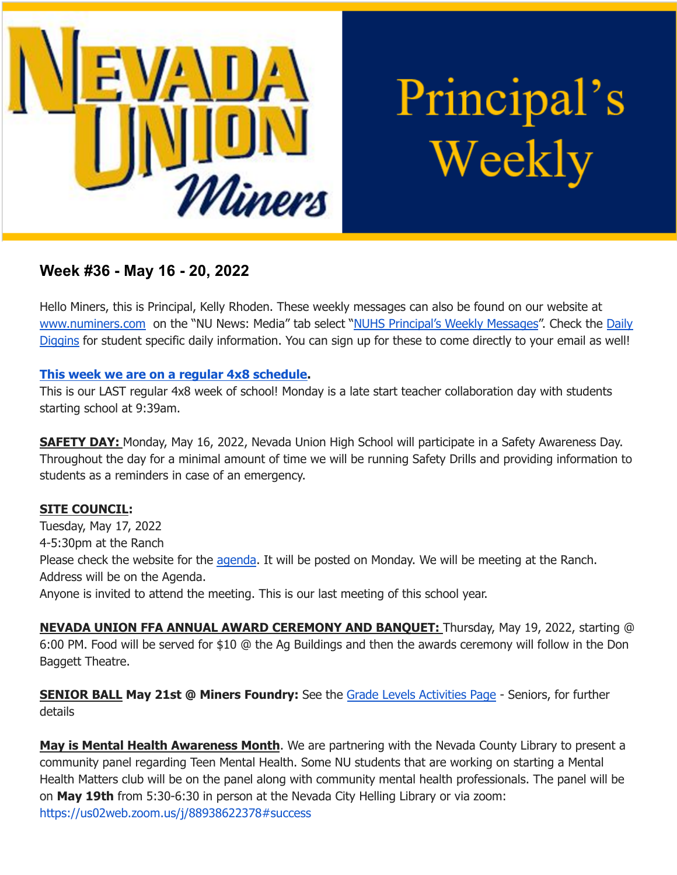

Principal's Weekly

# **Week #36 - May 16 - 20, 2022**

Hello Miners, this is Principal, Kelly Rhoden. These weekly messages can also be found on our website at [www.numiners.com](http://www.numiners.com) on the "NU News: Media" tab select "NUHS [Principal's](https://nevadaunion.njuhsd.com/NU-NewsMedia/NUHS-Principals-Weekly-Messages/index.html) Weekly Messages". Check the [Daily](https://nevadaunion.njuhsd.com/NU-NewsMedia/Daily-Diggins-Bulletin/index.html) [Diggins](https://nevadaunion.njuhsd.com/NU-NewsMedia/Daily-Diggins-Bulletin/index.html) for student specific daily information. You can sign up for these to come directly to your email as well!

#### **This week we are on a regular 4x8 [schedule.](https://nevadaunion.njuhsd.com/documents/Bell%20Schedules/Bell-Schedule-2021-2022-NUHS-4x8.pdf)**

This is our LAST regular 4x8 week of school! Monday is a late start teacher collaboration day with students starting school at 9:39am.

**SAFETY DAY:** Monday, May 16, 2022, Nevada Union High School will participate in a Safety Awareness Day. Throughout the day for a minimal amount of time we will be running Safety Drills and providing information to students as a reminders in case of an emergency.

# **SITE COUNCIL:**

Tuesday, May 17, 2022 4-5:30pm at the Ranch Please check the website for the [agenda.](https://nevadaunion.njuhsd.com/Information/Site-Council/index.html) It will be posted on Monday. We will be meeting at the Ranch. Address will be on the Agenda. Anyone is invited to attend the meeting. This is our last meeting of this school year.

**NEVADA UNION FFA ANNUAL AWARD CEREMONY AND BANQUET:** Thursday, May 19, 2022, starting @ 6:00 PM. Food will be served for \$10 @ the Ag Buildings and then the awards ceremony will follow in the Don Baggett Theatre.

**SENIOR BALL May 21st @ Miners Foundry:** See the Grade Levels [Activities](https://nevadaunion.njuhsd.com/Activities/Grade-Level-Activities-and-Information/index.html) Page - Seniors, for further details

**May is Mental Health Awareness Month**. We are partnering with the Nevada County Library to present a community panel regarding Teen Mental Health. Some NU students that are working on starting a Mental Health Matters club will be on the panel along with community mental health professionals. The panel will be on **May 19th** from 5:30-6:30 in person at the Nevada City Helling Library or via zoom: <https://us02web.zoom.us/j/88938622378#success>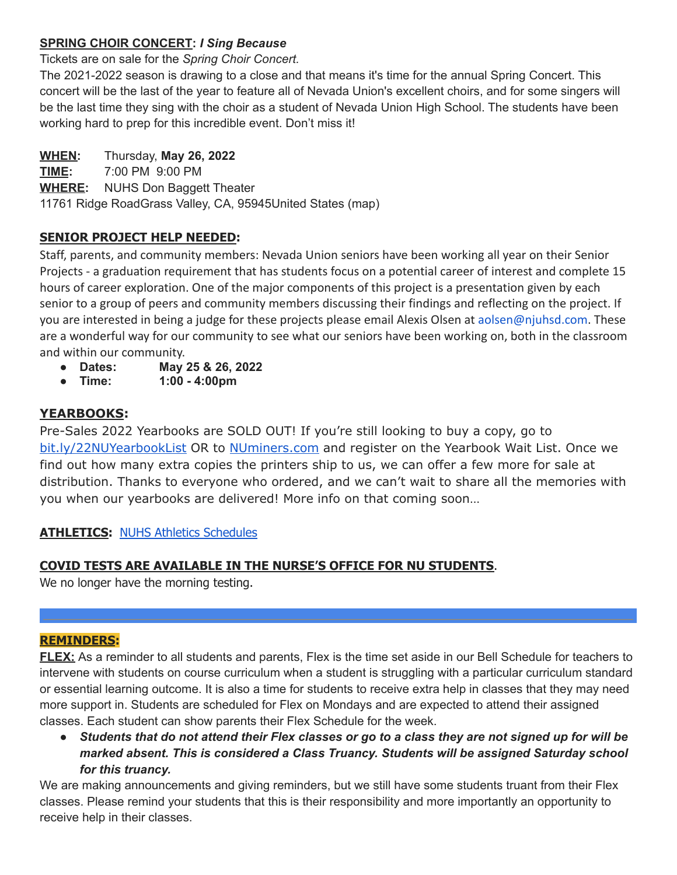### **SPRING CHOIR CONCERT:** *I Sing Because*

Tickets are on sale for the *Spring Choir Concert.*

The 2021-2022 season is drawing to a close and that means it's time for the annual Spring Concert. This concert will be the last of the year to feature all of Nevada Union's excellent choirs, and for some singers will be the last time they sing with the choir as a student of Nevada Union High School. The students have been working hard to prep for this incredible event. Don't miss it!

#### **WHEN:** Thursday, **May 26, 2022**

**TIME:** 7:00 PM 9:00 PM **WHERE:** NUHS Don Baggett Theater 11761 Ridge RoadGrass Valley, CA, 95945United States (map)

### **SENIOR PROJECT HELP NEEDED:**

Staff, parents, and community members: Nevada Union seniors have been working all year on their Senior Projects - a graduation requirement that has students focus on a potential career of interest and complete 15 hours of career exploration. One of the major components of this project is a presentation given by each senior to a group of peers and community members discussing their findings and reflecting on the project. If you are interested in being a judge for these projects please email Alexis Olsen at aolsen@njuhsd.com. These are a wonderful way for our community to see what our seniors have been working on, both in the classroom and within our community.

- **● Dates: May 25 & 26, 2022**
- **● Time: 1:00 - 4:00pm**

# **YEARBOOKS:**

Pre-Sales 2022 Yearbooks are SOLD OUT! If you're still looking to buy a copy, go t[o](https://bit.ly/22NUYearbookList) [bit.ly/22NUYearbookList](https://bit.ly/22NUYearbookList) OR to [NUminers.com](https://nevadaunion.njuhsd.com/Activities/Yearbooks/index.html) and register on the Yearbook Wait List. Once we find out how many extra copies the printers ship to us, we can offer a few more for sale at distribution. Thanks to everyone who ordered, and we can't wait to share all the memories with you when our yearbooks are delivered! More info on that coming soon…

# **ATHLETICS:** NUHS Athletics [Schedules](https://nevadaunion.njuhsd.com/Athletics/Sports-Calendar--Schedules/index.html)

#### **COVID TESTS ARE AVAILABLE IN THE NURSE'S OFFICE FOR NU STUDENTS**.

We no longer have the morning testing.

#### **REMINDERS:**

**FLEX:** As a reminder to all students and parents, Flex is the time set aside in our Bell Schedule for teachers to intervene with students on course curriculum when a student is struggling with a particular curriculum standard or essential learning outcome. It is also a time for students to receive extra help in classes that they may need more support in. Students are scheduled for Flex on Mondays and are expected to attend their assigned classes. Each student can show parents their Flex Schedule for the week.

Students that do not attend their Flex classes or go to a class they are not signed up for will be *marked absent. This is considered a Class Truancy. Students will be assigned Saturday school for this truancy.*

We are making announcements and giving reminders, but we still have some students truant from their Flex classes. Please remind your students that this is their responsibility and more importantly an opportunity to receive help in their classes.